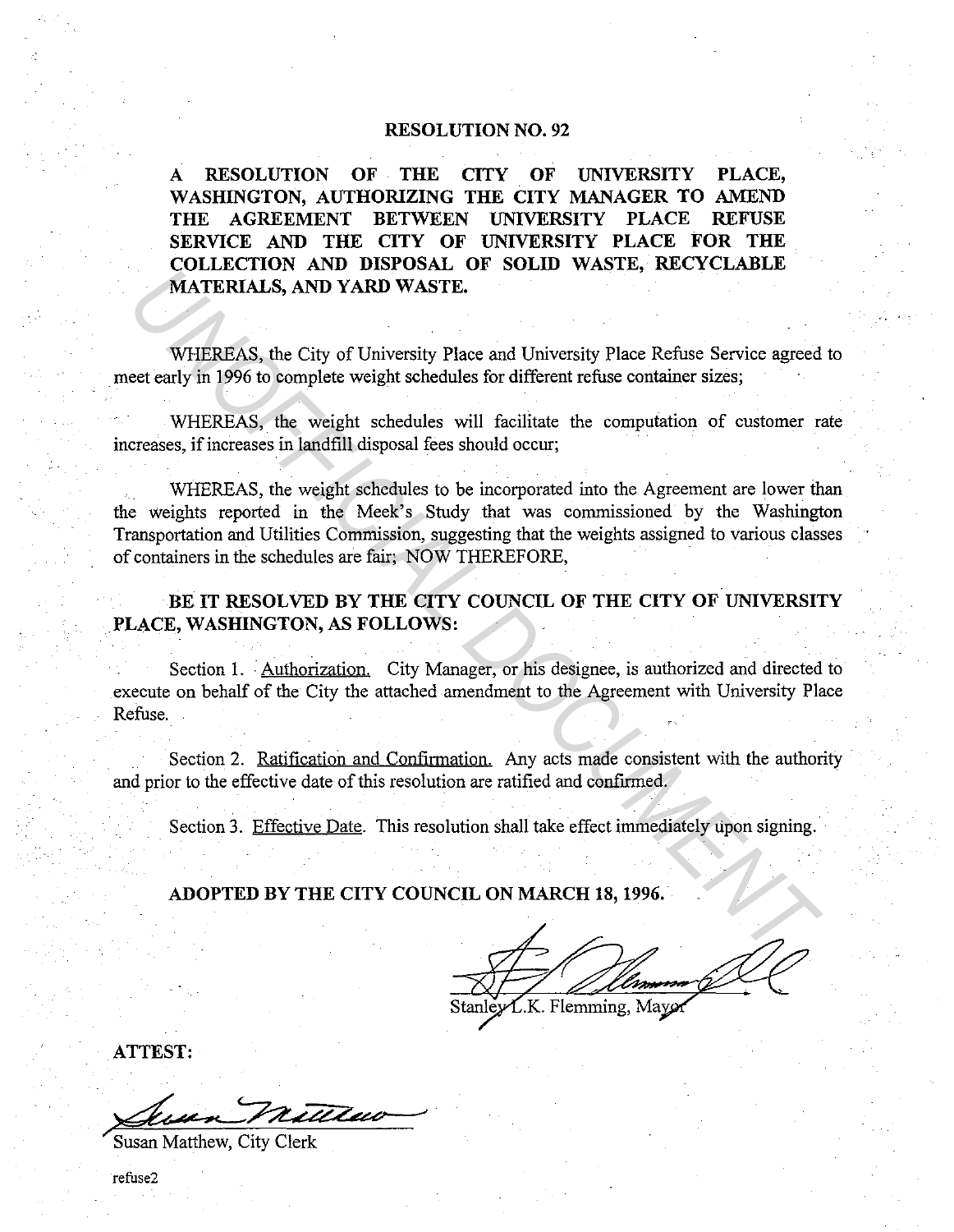#### **RESOLUTION NO. 92**

**A RESOLUTION OF THE CITY OF UNIVERSITY PLACE, WASHINGTON, AUTHORIZING THE CITY MANAGER TO AMEND THE AGREEMENT BETWEEN UNIVERSITY PLACE REFUSE SERVICE AND THE CITY OF UNIVERSITY PLACE FOR THE COLLECTION AND DISPOSAL OF SOLID WASTE, RECYCLABLE MATERIALS, AND YARD WASTE.** 

WHEREAS, the City of University Place and University Place Refuse Service agreed to meet early in 1996 to complete weight schedules for different refuse container sizes;

WHEREAS, the weight schedules will facilitate the computation of customer rate increases, if increases in landfill disposal fees should occur;

WHEREAS, the weight schedules to be incorporated into the Agreement are lower than the weights reported in the Meek's Study that was commissioned by the Washington Transportation and Utilities Commission, suggesting that the weights assigned to various classes of containers in the schedules are fair; NOW THEREFORE, **UNIFEREAS, ARD YARD WASTER**<br> **WHEREAS, ARD YARD WASTER**<br>
WHEREAS, ARD YARD WASTER.<br>
WHEREAS, the veight schedules for different refuse container sizes;<br>
WHEREAS, the weight schedules for different refuse container sizes;<br>

**BE IT RESOLVED BY THE CITY COUNCIL OF THE CITY OF UNIVERSITY**  PLACE, WASHINGTON, AS FOLLOWS:

Section 1. Authorization. City Manager, or his designee, is authorized and directed to execute on behalf of the City the attached amendment to the Agreement with University Place Refuse.

Section 2. Ratification and Confirmation. Any acts made consistent with the authority and prior to the effective date of this resolution are ratified and confirmed.

Section 3. Effective Date. This resolution shall take effect immediately upon signing.

**ADOPTED BY THE CITY COUNCIL ON MARCH 18, 1996.** 

.K. Flemming, Mayo Stanley

**ATTEST:** 

Sum Matthew

*r*  Susan Matthew, City Clerk

refuse2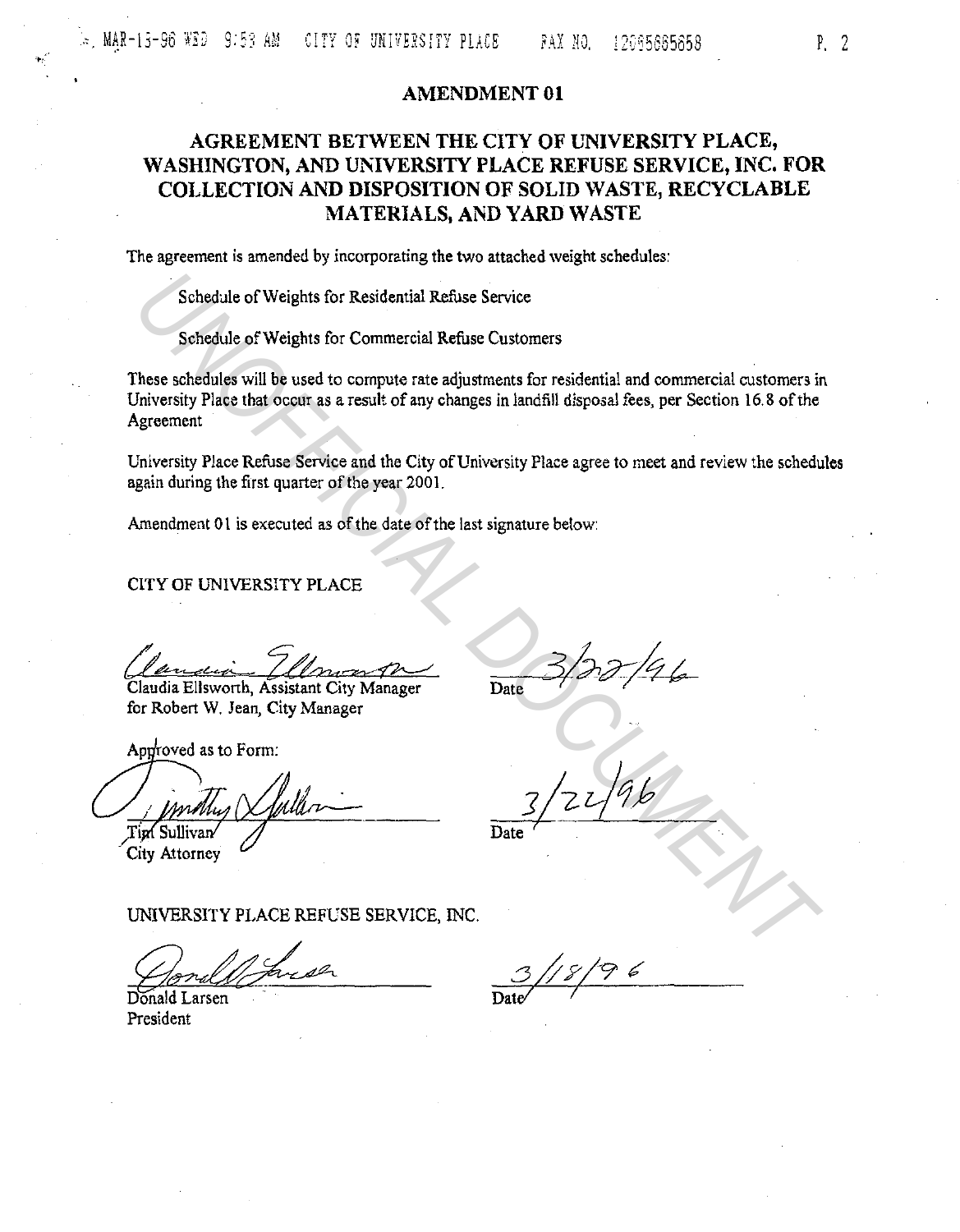#### **AMENDMENT 01**

### **AGREEMENT BETWEEN THE CITY OF UNIVERSITY PLACE, WASHINGTON, AND UNIVERSITY PLACE REFUSE SERVICE, INC. FOR COLLECTION AND DISPOSITION OF SOLID \VASTE, RECYCLABLE MATERIALS, AND YARD WASTE**

The agreement is amended by incorporating the two attached weight schedules:

Schedule of Weights for Residential Refuse Service

Schedule of Weights for Commercial Refuse Customers

These schedules will be used to compute rate adjustments for residential and commercial customers in University Place that occur as a result of any changes in landfill disposal fees, per Section 16.8 of the Agreement Schedule of Weights for Residential Refise Service<br>
Schedule of Weights for Commercial Refise Customers<br>
These schedules will be used to compute rate adjustments for residential and commercial customers<br>
Theoretics Place t

University Place Refuse Service and the City of University Place agree to meet and review the schedules again during the first quarter of the year 2001.

Amendment 01 is executed as of the date of the last signature below:

CITY OF UNIVERSITY PLACE

Claudia Ellsworth, Assistant City Manager for Robert W. Jean, City Manager

Approved as to Form:

*Immaling* Villan

**City Attorney** 

UNIVERSITY PLACE REFUSE SERVICE, INC.

Donald Jansen

President

Date  $\sqrt{ }$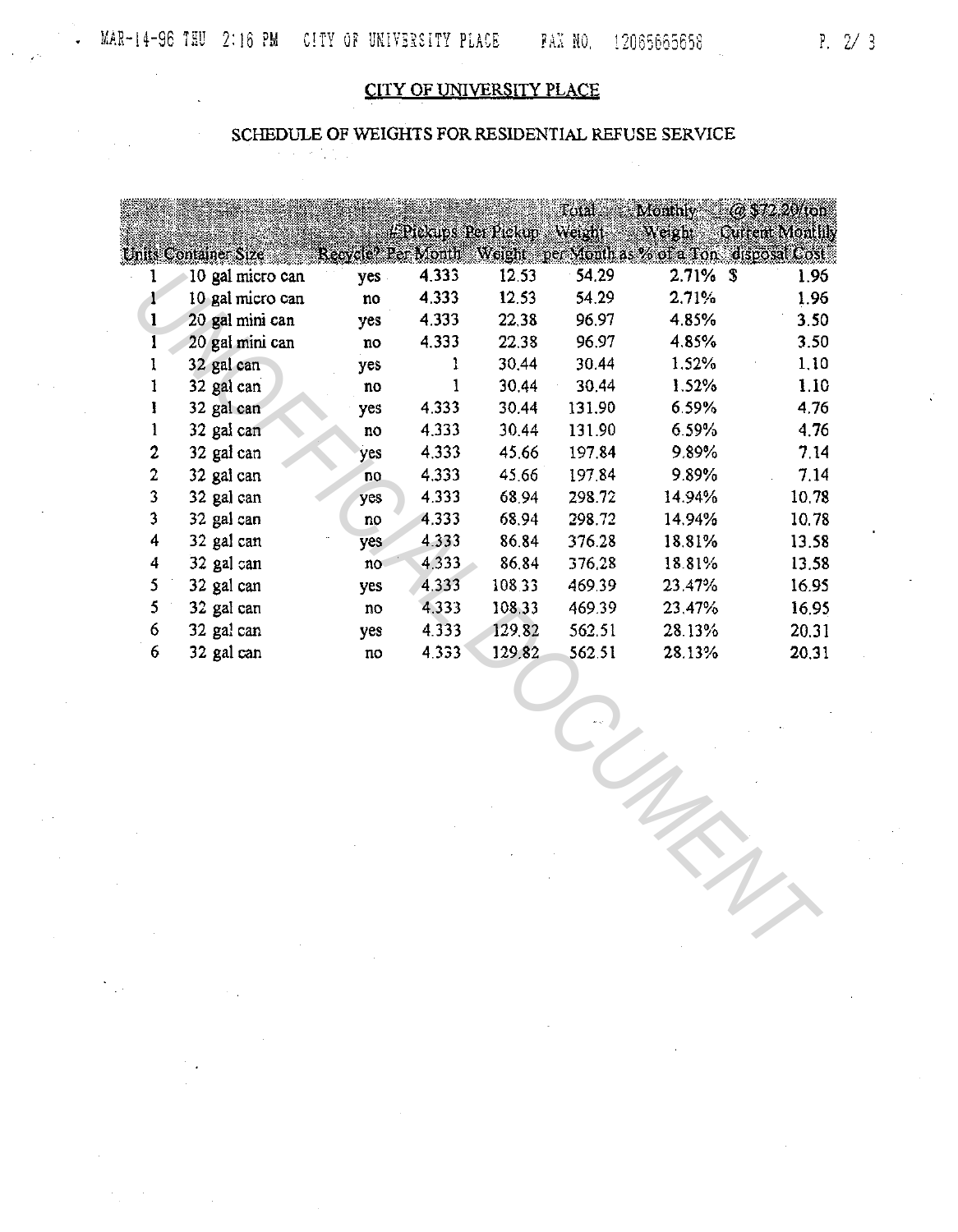## CITY OF UNIVERSITY PLACE

### SCHEDULE OF WEIGHTS FOR RESIDENTIAL REFUSE SERVICE

|                |                      |                                |       |                            | Tutat : | Monthly                                      | @S122010n              |
|----------------|----------------------|--------------------------------|-------|----------------------------|---------|----------------------------------------------|------------------------|
|                |                      |                                |       | #Pickups Per Pickup Merghi |         | Neight                                       | <b>Current Monthly</b> |
|                | Units Container Size | Recycle <sup>p</sup> Per Month |       |                            |         | Weight per Month as % of a Ton disposal Cost |                        |
|                | 10 gal micro can     | yes                            | 4.333 | 12.53                      | 54.29   | $2.71\%$ \$                                  | 1.96                   |
|                | 10 gal micro can     | no                             | 4.333 | 12.53                      | 54.29   | 2.71%                                        | 1.96                   |
| $\mathbf{1}$   | 20 gal mini can      | yes                            | 4.333 | 22,38                      | 96.97   | 4.85%                                        | 3.50                   |
|                | 20 gal mini can      | no                             | 4.333 | 22.38                      | 96.97   | 4.85%                                        | 3.50                   |
|                | 32 gal can           | yes                            |       | 30.44                      | 30.44   | 1.52%                                        | 1.10                   |
|                | 32 gal can           | no                             |       | 30.44                      | 30.44   | 1.52%                                        | 1.10                   |
|                | 32 gal can           | yes                            | 4.333 | 30.44                      | 131.90  | 6.59%                                        | 4.76                   |
|                | 32 gal can           | no                             | 4.333 | 30.44                      | 131.90  | 6.59%                                        | 4.76                   |
| 2              | 32 gal can           | yes                            | 4.333 | 45.66                      | 197.84  | 9.89%                                        | 7,14                   |
| $\overline{2}$ | 32 gal can           | no.                            | 4.333 | 45.66                      | 197.84  | 9.89%                                        | 7.14                   |
| 3              | 32 gal can           | yes                            | 4.333 | 68.94                      | 298.72  | 14.94%                                       | 10.78                  |
| 3              | 32 gal can           | no                             | 4.333 | 68.94                      | 298.72  | 14.94%                                       | 10.78                  |
| 4              | 32 gal can           | yes                            | 4.333 | 86.84                      | 376.28  | 18.81%                                       | 13.58                  |
| 4              | 32 gal can           | no                             | 4.333 | 86.84                      | 376.28  | 18.81%                                       | 13.58                  |
| 5              | 32 gal can           | yes                            | 4.333 | 108.33                     | 469.39  | 23.47%                                       | 16.95                  |
| 5              | 32 gal can           | no                             | 4.333 | 108.33                     | 469.39  | 23.47%                                       | 16.95                  |
| 6              | 32 gal can           | yes                            | 4.333 | 129.82                     | 562.51  | 28.13%                                       | 20.31                  |
| 6              | 32 gal can           | no                             | 4.333 | 129.82                     | 562.51  | 28.13%                                       | 20.31                  |